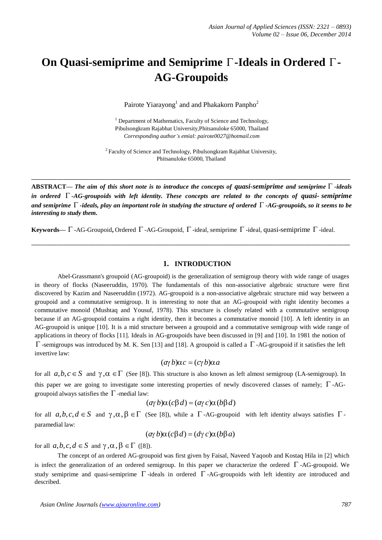# **On Quasi-semiprime and Semiprime -Ideals in Ordered - AG-Groupoids**

Pairote Yiarayong<sup>1</sup> and and Phakakorn Panpho<sup>2</sup>

<sup>1</sup> Department of Mathematics, Faculty of Science and Technology, Pibulsongkram Rajabhat University,Phitsanuloke 65000, Thailand *Corresponding author's emial: [pairote0027@hotmail.com](mailto:pairote0027@hotmail.com)*

<sup>2</sup> Faculty of Science and Technology, Pibulsongkram Rajabhat University, Phitsanuloke 65000, Thailand

\_\_\_\_\_\_\_\_\_\_\_\_\_\_\_\_\_\_\_\_\_\_\_\_\_\_\_\_\_\_\_\_\_\_\_\_\_\_\_\_\_\_\_\_\_\_\_\_\_\_\_\_\_\_\_\_\_\_\_\_\_\_\_\_\_\_\_\_\_\_\_\_\_\_\_\_\_\_\_\_\_\_\_\_\_\_\_\_\_\_\_\_\_\_\_\_\_\_\_\_

ABSTRACT— The aim of this short note is to introduce the concepts of quasi-semiprime and semiprime  $\Gamma$  -ideals *in ordered -AG-groupoids with left identity. These concepts are related to the concepts of quasi- semiprime* and semiprime  $\Gamma$  -ideals, play an important role in studying the structure of ordered  $\Gamma$  -AG-groupoids, so it seems to be *interesting to study them.*

\_\_\_\_\_\_\_\_\_\_\_\_\_\_\_\_\_\_\_\_\_\_\_\_\_\_\_\_\_\_\_\_\_\_\_\_\_\_\_\_\_\_\_\_\_\_\_\_\_\_\_\_\_\_\_\_\_\_\_\_\_\_\_\_\_\_\_\_\_\_\_\_\_\_\_\_\_\_\_\_\_\_\_\_\_\_\_\_\_\_\_\_\_\_\_\_\_\_\_\_

**Keywords—**  $\Gamma$ -AG-Groupoid, Ordered  $\Gamma$ -AG-Groupoid,  $\Gamma$ -ideal, semiprime  $\Gamma$ -ideal, quasi-semiprime  $\Gamma$ -ideal.

## **1. INTRODUCTION**

Abel-Grassmann's groupoid (AG-groupoid) is the generalization of semigroup theory with wide range of usages in theory of flocks (Naseeruddin, 1970). The fundamentals of this non-associative algebraic structure were first discovered by Kazim and Naseeruddin (1972). AG-groupoid is a non-associative algebraic structure mid way between a groupoid and a commutative semigroup. It is interesting to note that an AG-groupoid with right identity becomes a commutative monoid (Mushtaq and Yousuf, 1978). This structure is closely related with a commutative semigroup because if an AG-groupoid contains a right identity, then it becomes a commutative monoid [10]. A left identity in an AG-groupoid is unique [10]. It is a mid structure between a groupoid and a commutative semigroup with wide range of applications in theory of flocks [11]. Ideals in AG-groupoids have been discussed in [9] and [10]. In 1981 the notion of  $\Gamma$ -semigroups was introduced by M. K. Sen [13] and [18]. A groupoid is called a  $\Gamma$ -AG-groupoid if it satisfies the left invertive law:

$$
(a\gamma b)\alpha c = (c\gamma b)\alpha a
$$

for all  $a,b,c \in S$  and  $\gamma, \alpha \in \Gamma$  (See [8]). This structure is also known as left almost semigroup (LA-semigroup). In this paper we are going to investigate some interesting properties of newly discovered classes of namely;  $\Gamma$ -AGgroupoid always satisfies the  $\Gamma$  -medial law:

$$
(\alpha \gamma b)\alpha (c \beta d) = (\alpha \gamma c)\alpha (b \beta d)
$$

for all  $a, b, c, d \in S$  and  $\gamma, \alpha, \beta \in \Gamma$  (See [8]), while a  $\Gamma$ -AG-groupoid with left identity always satisfies  $\Gamma$ paramedial law:

$$
(a\gamma b)\alpha (c\beta d) = (d\gamma c)\alpha (b\beta a)
$$

for all  $a, b, c, d \in S$  and  $\gamma, \alpha, \beta \in \Gamma$  ([8]).

The concept of an ordered AG-groupoid was first given by Faisal, Naveed Yaqoob and Kostaq Hila in [2] which is infect the generalization of an ordered semigroup. In this paper we characterize the ordered  $\Gamma$ -AG-groupoid. We study semiprime and quasi-semiprime  $\Gamma$ -ideals in ordered  $\Gamma$ -AG-groupoids with left identity are introduced and described.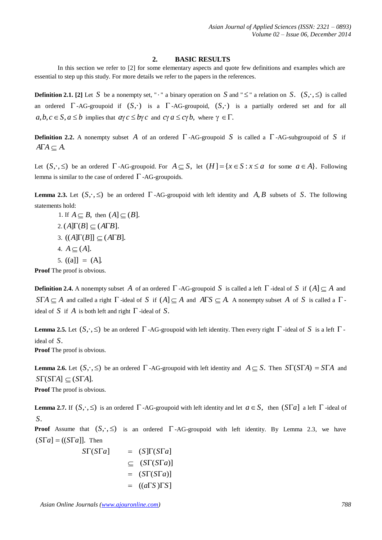### **2. BASIC RESULTS**

In this section we refer to [2] for some elementary aspects and quote few definitions and examples which are essential to step up this study. For more details we refer to the papers in the references.

**Definition 2.1.** [2] Let *S* be a nonempty set, " $\cdot$ " a binary operation on *S* and "  $\leq$ " a relation on *S*.  $(S, \cdot, \leq)$  is called an ordered  $\Gamma$ -AG-groupoid if  $(S, \cdot)$  is a  $\Gamma$ -AG-groupoid,  $(S, \cdot)$  is a partially ordered set and for all  $a, b, c \in S, a \leq b$  implies that  $a \gamma c \leq b \gamma c$  and  $c \gamma a \leq c \gamma b$ , where  $\gamma \in \Gamma$ .

**Definition 2.2.** A nonempty subset A of an ordered  $\Gamma$ -AG-groupoid S is called a  $\Gamma$ -AG-subgroupoid of S if  $A\Gamma A \subseteq A$ .

Let  $(S, \cdot, \leq)$  be an ordered  $\Gamma$ -AG-groupoid. For  $A \subseteq S$ , let  $(H] = \{x \in S : x \leq a$  for some  $a \in A\}$ . Following lemma is similar to the case of ordered  $\Gamma$  -AG-groupoids.

**Lemma 2.3.** Let  $(S, \cdot, \leq)$  be an ordered  $\Gamma$ -AG-groupoid with left identity and A, B subsets of S. The following statements hold:

1. If  $A \subseteq B$ , then  $(A] \subseteq (B]$ . 2.  $(A[\Gamma(B)] \subset (A\Gamma B].$ 3.  $((A[\Gamma(B]] \subset (A\Gamma B)).$ 4.  $A \subseteq (A]$ . 5.  $((a)] = (A)$ .

**Proof** The proof is obvious.

**Definition 2.4.** A nonempty subset A of an ordered  $\Gamma$ -AG-groupoid S is called a left  $\Gamma$ -ideal of S if  $(A) \subset A$  and  $S\Gamma A \subseteq A$  and called a right  $\Gamma$ -ideal of *S* if  $(A) \subseteq A$  and  $A\Gamma S \subseteq A$ . A nonempty subset  $A$  of  $S$  is called a  $\Gamma$ ideal of *S* if *A* is both left and right  $\Gamma$ -ideal of *S*.

**Lemma 2.5.** Let  $(S, \cdot, \leq)$  be an ordered  $\Gamma$ -AG-groupoid with left identity. Then every right  $\Gamma$ -ideal of *S* is a left  $\Gamma$ ideal of *S*.

**Proof** The proof is obvious.

**Lemma 2.6.** Let  $(S, \cdot, \leq)$  be an ordered  $\Gamma$ -AG-groupoid with left identity and  $A \subseteq S$ . Then  $S\Gamma(S\Gamma A) = S\Gamma A$  and  $ST(STA] \subseteq (STA)$ .

**Proof** The proof is obvious.

**Lemma 2.7.** If  $(S, \cdot, \leq)$  is an ordered  $\Gamma$ -AG-groupoid with left identity and let  $a \in S$ , then  $(S\Gamma a]$  a left  $\Gamma$ -ideal of *S*.

**Proof** Assume that  $(S, \cdot, \leq)$  is an ordered  $\Gamma$ -AG-groupoid with left identity. By Lemma 2.3, we have  $(S\Gamma a] = ((S\Gamma a)]$ . Then

$$
ST(STa] = (S\Gamma(STa) \n\subseteq (ST(STa)] \n= (ST(STa) \n= ((a\Gamma S)\Gamma S)
$$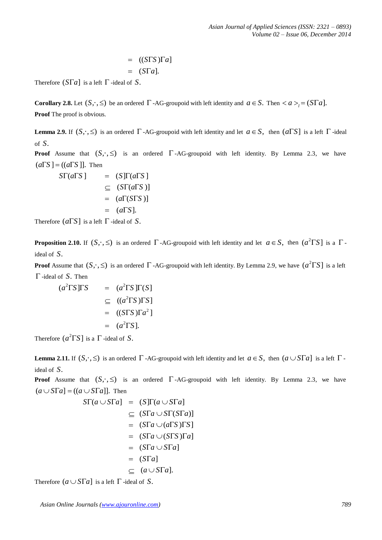$$
= ((S\Gamma S)\Gamma a]
$$
  

$$
= (S\Gamma a).
$$

Therefore  $(S\Gamma a]$  is a left  $\Gamma$ -ideal of *S*.

**Corollary 2.8.** Let  $(S, \cdot, \leq)$  be an ordered  $\Gamma$ -AG-groupoid with left identity and  $a \in S$ . Then  $\langle a \rangle = (S \Gamma a)$ . **Proof** The proof is obvious.

**Lemma 2.9.** If  $(S, \cdot, \leq)$  is an ordered  $\Gamma$ -AG-groupoid with left identity and let  $a \in S$ , then  $(a \Gamma S]$  is a left  $\Gamma$ -ideal of *S*.

**Proof** Assume that  $(S, \cdot, \leq)$  is an ordered  $\Gamma$ -AG-groupoid with left identity. By Lemma 2.3, we have  $(a\Gamma S$  ] =  $((a\Gamma S)$ ]. Then

 $S\Gamma(a\Gamma S)$  =  $(S\Gamma(a\Gamma S))$  $\subseteq$  (*SC*(*aCS*)]  $=$   $(a\Gamma(S\Gamma S))$  $=$   $(a \Gamma S)$ .

Therefore  $(a \Gamma S)$  is a left  $\Gamma$ -ideal of S.

**Proposition 2.10.** If  $(S, \cdot, \leq)$  is an ordered  $\Gamma$ -AG-groupoid with left identity and let  $a \in S$ , then  $(a^2 \Gamma S)$  is a  $\Gamma$ ideal of *S*.

**Proof** Assume that  $(S, \cdot, \leq)$  is an ordered  $\Gamma$  -AG-groupoid with left identity. By Lemma 2.9, we have  $(a^2 \Gamma S]$  is a left -ideal of *S*. Then

$$
(a2 \Gamma S) \Gamma S = (a2 \Gamma S) \Gamma(S)
$$
  
\n
$$
\subseteq ((a2 \Gamma S) \Gamma S)
$$
  
\n
$$
= ((S \Gamma S) \Gamma a2]
$$
  
\n
$$
= (a2 \Gamma S).
$$

Therefore  $(a^2 \Gamma S)$  is a  $\Gamma$ -ideal of *S*.

**Lemma** 2.11. If  $(S, \cdot, \leq)$  is an ordered  $\Gamma$ -AG-groupoid with left identity and let  $a \in S$ , then  $(a \cup S\Gamma a]$  is a left  $\Gamma$ ideal of *S*.

**Proof** Assume that  $(S, \cdot, \leq)$  is an ordered  $\Gamma$ -AG-groupoid with left identity. By Lemma 2.3, we have  $(a \cup S\Gamma a] = ((a \cup S\Gamma a])$ . Then

$$
ST(a \cup STa) = (S[\Gamma(a \cup STa])
$$
  
\n
$$
\subseteq (STa \cup ST(STa)]
$$
  
\n
$$
= (STa \cup (aTS)TS]
$$
  
\n
$$
= (STa \cup (STS)Ta]
$$
  
\n
$$
= (STa \cup STa]
$$
  
\n
$$
= (STa]
$$
  
\n
$$
\subseteq (a \cup STa].
$$

Therefore  $(a \cup S\Gamma a]$  is a left  $\Gamma$ -ideal of S.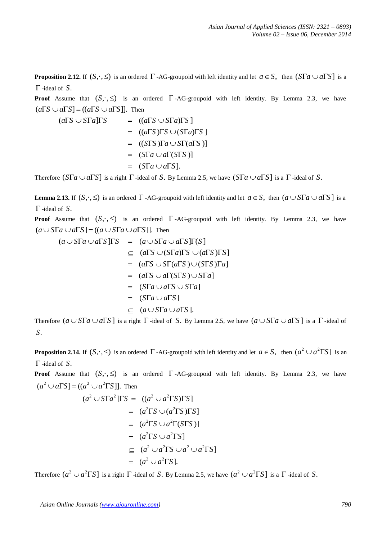**Proposition 2.12.** If  $(S, \cdot, \leq)$  is an ordered  $\Gamma$  -AG-groupoid with left identity and let  $a \in S$ , then  $(S\Gamma a \cup a\Gamma S)$  is a -ideal of *S*.

**Proof** Assume that  $(S, \cdot, \leq)$  is an ordered  $\Gamma$ -AG-groupoid with left identity. By Lemma 2.3, we have  $(a \Gamma S \cup a \Gamma S = ((a \Gamma S \cup a \Gamma S))$ . Then

$$
(a\Gamma S \cup S\Gamma a)\Gamma S = ((a\Gamma S \cup S\Gamma a)\Gamma S]
$$
  
= ((a\Gamma S)\Gamma S \cup (S\Gamma a)\Gamma S]  
= ((S\Gamma S)\Gamma a \cup S\Gamma(a\Gamma S)]  
= (S\Gamma a \cup a\Gamma(S\Gamma S)]  
= (S\Gamma a \cup a\Gamma S].

Therefore  $(S\Gamma a \cup a\Gamma S)$  is a right  $\Gamma$ -ideal of *S*. By Lemma 2.5, we have  $(S\Gamma a \cup a\Gamma S)$  is a  $\Gamma$ -ideal of *S*.

**Lemma 2.13.** If  $(S, \cdot, \leq)$  is an ordered  $\Gamma$  -AG-groupoid with left identity and let  $a \in S$ , then  $(a \cup S\Gamma a \cup a\Gamma S)$  is a -ideal of *S*.

**Proof** Assume that  $(S, \cdot, \leq)$  is an ordered  $\Gamma$ -AG-groupoid with left identity. By Lemma 2.3, we have  $(a \cup S\Gamma a \cup a\Gamma S] = ((a \cup S\Gamma a \cup a\Gamma S))$ . Then

$$
(a \cup S\Gamma a \cup a\Gamma S)\Gamma S = (a \cup S\Gamma a \cup a\Gamma S)\Gamma(S)
$$
  
\n
$$
\subseteq (a\Gamma S \cup (S\Gamma a)\Gamma S \cup (a\Gamma S)\Gamma S)
$$
  
\n
$$
= (a\Gamma S \cup S\Gamma(a\Gamma S) \cup (S\Gamma S)\Gamma a]
$$
  
\n
$$
= (a\Gamma S \cup a\Gamma(S\Gamma S) \cup S\Gamma a]
$$
  
\n
$$
= (S\Gamma a \cup a\Gamma S)
$$
  
\n
$$
\subseteq (a \cup S\Gamma a \cup a\Gamma S).
$$

Therefore  $(a \cup S\Gamma a \cup a\Gamma S]$  is a right  $\Gamma$ -ideal of S. By Lemma 2.5, we have  $(a \cup S\Gamma a \cup a\Gamma S]$  is a  $\Gamma$ -ideal of *S*.

**Proposition 2.14.** If  $(S, \cdot, \leq)$  is an ordered  $\Gamma$  -AG-groupoid with left identity and let  $a \in S$ , then  $(a^2 \cup a^2 \Gamma S]$  is an -ideal of *S*.

**Proof** Assume that  $(S, \cdot, \leq)$  is an ordered  $\Gamma$ -AG-groupoid with left identity. By Lemma 2.3, we have  $(a^2 \cup a \Gamma S) = ((a^2 \cup a^2 \Gamma S))$ . Then

$$
(a2 \cup S\Gamma a2 ]\Gamma S = ((a2 \cup a2\Gamma S)\Gamma S]
$$
  
= (a<sup>2</sup>\Gamma S \cup (a<sup>2</sup>\Gamma S)\Gamma S]  
= (a<sup>2</sup>\Gamma S \cup a<sup>2</sup>\Gamma(S\Gamma S)]  
= (a<sup>2</sup>\Gamma S \cup a<sup>2</sup>\Gamma S]  
 $\subseteq$  (a<sup>2</sup> \cup a<sup>2</sup>\Gamma S \cup a<sup>2</sup> \cup a<sup>2</sup>\Gamma S]  
= (a<sup>2</sup> \cup a<sup>2</sup>\Gamma S].

Therefore  $(a^2 \cup a^2 \Gamma S]$  is a right  $\Gamma$  -ideal of *S*. By Lemma 2.5, we have  $(a^2 \cup a^2 \Gamma S]$  is a  $\Gamma$  -ideal of *S*.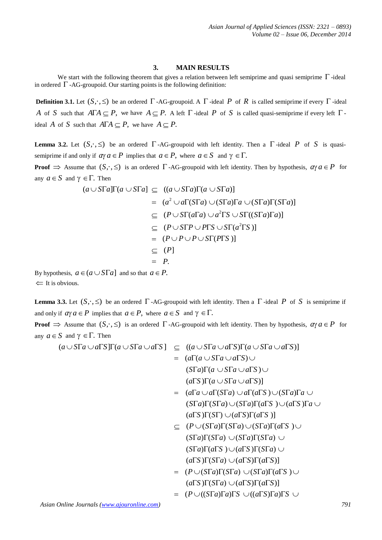# **3. MAIN RESULTS**

We start with the following theorem that gives a relation between left semiprime and quasi semiprime  $\Gamma$ -ideal in ordered  $\Gamma$  -AG-groupoid. Our starting points is the following definition:

**Definition 3.1.** Let  $(S, \cdot, \leq)$  be an ordered  $\Gamma$ -AG-groupoid. A  $\Gamma$ -ideal *P* of *R* is called semiprime if every  $\Gamma$ -ideal *A* of *S* such that  $A\Gamma A \subseteq P$ , we have  $A \subseteq P$ . A left  $\Gamma$ -ideal *P* of *S* is called quasi-semiprime if every left  $\Gamma$ ideal *A* of *S* such that  $A\Gamma A \subseteq P$ , we have  $A \subseteq P$ .

**Lemma 3.2.** Let  $(S, \cdot, \leq)$  be an ordered  $\Gamma$ -AG-groupoid with left identity. Then a  $\Gamma$ -ideal P of S is quasisemiprime if and only if  $a\gamma a \in P$  implies that  $a \in P$ , where  $a \in S$  and  $\gamma \in \Gamma$ .

**Proof**  $\Rightarrow$  Assume that  $(S, \cdot, \leq)$  is an ordered  $\Gamma$ -AG-groupoid with left identity. Then by hypothesis,  $a \lor a \in P$  for any  $a \in S$  and  $\gamma \in \Gamma$ . Then

$$
(a \cup S\Gamma a)\Gamma(a \cup S\Gamma a) \subseteq ((a \cup S\Gamma a)\Gamma(a \cup S\Gamma a))
$$
  
=  $(a^2 \cup a\Gamma(S\Gamma a) \cup (S\Gamma a)\Gamma a \cup (S\Gamma a)\Gamma(S\Gamma a)]$   
 $\subseteq (P \cup S\Gamma(a\Gamma a) \cup a^2\Gamma S \cup S\Gamma((S\Gamma a)\Gamma a)]$   
 $\subseteq (P \cup S\Gamma P \cup P\Gamma S \cup S\Gamma(a^2\Gamma S))$   
 $\subseteq (P \cup P \cup P \cup S\Gamma(P\Gamma S))$   
 $\subseteq (P]$   
=  $P$ .

By hypothesis,  $a \in (a \cup S\Gamma a]$  and so that  $a \in P$ .  $\leftarrow$  It is obvious.

**Lemma 3.3.** Let  $(S, \cdot, \leq)$  be an ordered  $\Gamma$ -AG-groupoid with left identity. Then a  $\Gamma$ -ideal P of S is semiprime if and only if  $a\gamma a \in P$  implies that  $a \in P$ , where  $a \in S$  and  $\gamma \in \Gamma$ .

**Proof**  $\Rightarrow$  Assume that  $(S, \cdot, \leq)$  is an ordered  $\Gamma$ -AG-groupoid with left identity. Then by hypothesis,  $a \lor a \in P$  for any  $a \in S$  and  $\gamma \in \Gamma$ . Then

$$
(a \cup S\Gamma a \cup a\Gamma S)\Gamma(a \cup S\Gamma a \cup a\Gamma S) \subseteq ((a \cup S\Gamma a \cup a\Gamma S)\Gamma(a \cup S\Gamma a \cup a\Gamma S))
$$
  
= 
$$
(a\Gamma(a \cup S\Gamma a \cup a\Gamma S) \cup
$$
  

$$
(S\Gamma a)\Gamma(a \cup S\Gamma a \cup a\Gamma S) \cup
$$
  

$$
(a\Gamma S)\Gamma(a \cup S\Gamma a \cup a\Gamma S)]
$$
  
= 
$$
(a\Gamma a \cup a\Gamma(S\Gamma a) \cup a\Gamma(a\Gamma S) \cup (S\Gamma a)\Gamma a \cup
$$

$$
= (a\mathbf{i} a \cup a\mathbf{i} s)\cup (a\mathbf{i} s)\cup (s\mathbf{i} a)\mathbf{i} a\cup (s\mathbf{i} a)\mathbf{i} s\cup (s\mathbf{i} a)\mathbf{j} s\cup (s\mathbf{i} a)\mathbf{k} \cup (s\mathbf{i} s)\mathbf{k} s\cup (s\mathbf{i} s)\mathbf{k} s\cup (s\mathbf{i} s)\mathbf{k} s\cup (s\mathbf{i} s)\mathbf{k} s\cup (s\mathbf{i} s)\mathbf{k} s\cup (s\mathbf{i} s)\mathbf{k} s\cup (s\mathbf{i} s)\mathbf{k} s\cup (s\mathbf{i} s)\mathbf{k} s\cup (s\mathbf{i} s)\mathbf{k} s\cup (s\mathbf{i} s)\mathbf{k} s\cup (s\mathbf{i} s)\mathbf{k} s\cup (s\mathbf{i} s)\mathbf{k} s\cup (s\mathbf{i} s)\mathbf{k} s\cup (s\mathbf{i} s)\mathbf{k} s\cup (s\mathbf{i} s)\mathbf{k} s\cup (s\mathbf{i} s)\mathbf{k} s\cup (s\mathbf{i} s)\mathbf{k} s\cup (s\mathbf{i} s)\mathbf{k} s\cup (s\mathbf{i} s)\mathbf{k} s\cup (s\mathbf{i} s)\mathbf{k} s\cup (s\mathbf{i} s)\mathbf{k} s\cup (s\mathbf{i} s)\mathbf{k} s\cup (s\mathbf{i} s)\mathbf{k} s\cup (s\mathbf{i} s)\mathbf{k} s\cup (s\mathbf{i} s)\mathbf{k} s\cup (s\mathbf{i} s)\mathbf{k} s\cup (s\mathbf{i} s)\mathbf{k} s\cup (s\mathbf{i} s)\mathbf{k} s\cup (s\mathbf{i} s)\mathbf{k} s\cup (s\mathbf{i} s)\mathbf{k} s\cup (s\mathbf{i} s)\mathbf{k} s\cup (s\mathbf{i} s)\mathbf{k} s\cup (s\mathbf{i} s)\mathbf{k} s\cup (s\mathbf{i} s)\mathbf{k} s\cup (s\mathbf{i} s)\mathbf{k} s\cup (s\mathbf{i} s)\mathbf{k} s\cup (s\mathbf{i} s)\mathbf{k} s\cup (s\mathbf{i} s)\mathbf{k} s\cup (s\mathbf{i} s)\mathbf{k} s\cup (s\mathbf{i} s)\mathbf{k} s\cup (s\mathbf{i} s)\mathbf{k} s\cup (s\mathbf{i} s)\math
$$

 $\subset$   $(P \cup (S\Gamma a)\Gamma(S\Gamma a) \cup (S\Gamma a)\Gamma(a\Gamma S) \cup$  $(\overline{S} \Gamma a) \Gamma(\overline{S} \Gamma a) \cup (\overline{S} \Gamma a) \Gamma(\overline{S} \Gamma a) \cup$  $(\overline{STa})\Gamma(a\Gamma S)\cup(a\Gamma S)\Gamma(\overline{STa})\cup$  $(a \Gamma S) \Gamma(\overline{S} \Gamma a) \cup (a \Gamma S) \Gamma(a \Gamma S)$ 

$$
= (P \cup (S\Gamma a)\Gamma(S\Gamma a) \cup (S\Gamma a)\Gamma(a\Gamma S) \cup (a\Gamma S)\Gamma(S\Gamma a) \cup (a\Gamma S)\Gamma(a\Gamma S)]
$$

$$
= (P \cup ((S\Gamma a)\Gamma a)\Gamma S \cup ((a\Gamma S)\Gamma a)\Gamma S \cup
$$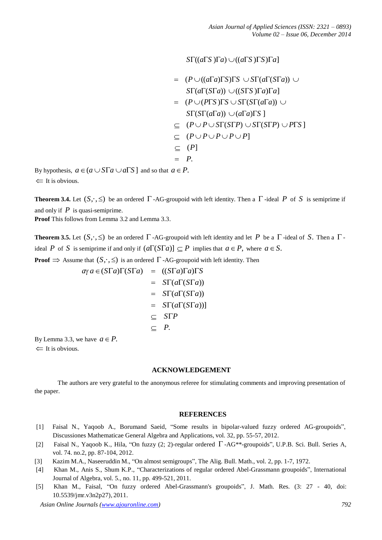$S\Gamma((a\Gamma S)\Gamma a) \cup ((a\Gamma S)\Gamma S)\Gamma a]$ 

$$
= (P \cup ((a\Gamma a)\Gamma S)\Gamma S \cup S\Gamma(a\Gamma(S\Gamma a)) \cup
$$
  
\n
$$
S\Gamma(a\Gamma(S\Gamma a)) \cup ((S\Gamma S)\Gamma a)\Gamma a]
$$
  
\n
$$
= (P \cup (P\Gamma S)\Gamma S \cup S\Gamma(S\Gamma(a\Gamma a)) \cup
$$
  
\n
$$
S\Gamma(S\Gamma(a\Gamma a)) \cup (a\Gamma a)\Gamma S]
$$
  
\n
$$
\subseteq (P \cup P \cup S\Gamma(S\Gamma P) \cup S\Gamma(S\Gamma P) \cup P\Gamma S]
$$
  
\n
$$
\subseteq (P \cup P \cup P \cup P \cup P]
$$
  
\n
$$
\subseteq (P]
$$
  
\n
$$
= P.
$$

By hypothesis,  $a \in (a \cup S\Gamma a \cup a\Gamma S]$  and so that  $a \in P$ .  $\Leftarrow$  It is obvious.

**Theorem 3.4.** Let  $(S, \cdot, \leq)$  be an ordered  $\Gamma$  -AG-groupoid with left identity. Then a  $\Gamma$  -ideal P of S is semiprime if and only if *P* is quasi-semiprime.

**Proof** This follows from Lemma 3.2 and Lemma 3.3.

**Theorem 3.5.** Let  $(S, \cdot, \leq)$  be an ordered  $\Gamma$ -AG-groupoid with left identity and let *P* be a  $\Gamma$ -ideal of *S*. Then a  $\Gamma$ ideal *P* of *S* is semiprime if and only if  $(a\Gamma(S\Gamma a)) \subseteq P$  implies that  $a \in P$ , where  $a \in S$ .

**Proof**  $\Rightarrow$  Assume that  $(S, \cdot, \leq)$  is an ordered  $\Gamma$ -AG-groupoid with left identity. Then

$$
\alpha \gamma a \in (STa)\Gamma(STa) = ((STa)\Gamma a)\Gamma S
$$
  
= 
$$
ST(a\Gamma(STa))
$$
  
= 
$$
ST(a\Gamma(STa))
$$
  
= 
$$
ST(a\Gamma(STa))
$$
  

$$
\subseteq STP
$$
  

$$
\subseteq P.
$$

By Lemma 3.3, we have  $a \in P$ .  $\Leftarrow$  It is obvious.

## **ACKNOWLEDGEMENT**

The authors are very grateful to the anonymous referee for stimulating comments and improving presentation of the paper.

### **REFERENCES**

- [1] Faisal N., Yaqoob A., Borumand Saeid, "Some results in bipolar-valued fuzzy ordered AG-groupoids", Discussiones Mathematicae General Algebra and Applications, vol. 32, pp. 55-57, 2012.
- [2] Faisal N., Yaqoob K., Hila, "On fuzzy  $(2; 2)$ -regular ordered  $\Gamma$ -AG\*\*-groupoids", U.P.B. Sci. Bull. Series A, vol. 74. no.2, pp. 87-104, 2012.
- [3] Kazim M.A., Naseeruddin M., "On almost semigroups", The Alig. Bull. Math., vol. 2, pp. 1-7, 1972.
- [4] Khan M., Anis S., Shum K.P., "Characterizations of regular ordered Abel-Grassmann groupoids", International Journal of Algebra, vol. 5., no. 11, pp. 499-521, 2011.
- [5] Khan M., Faisal, "On fuzzy ordered Abel-Grassmann's groupoids", J. Math. Res. (3: 27 40, doi: 10.5539/jmr.v3n2p27), 2011.